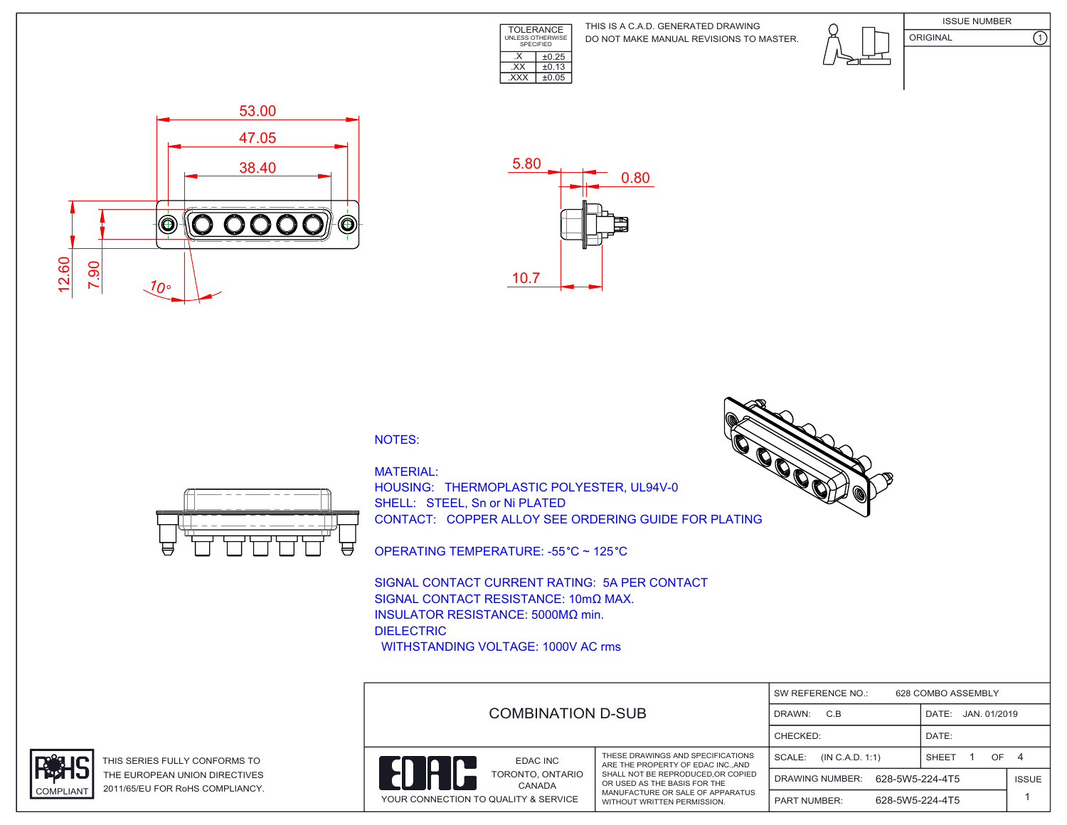

DO NOT MAKE MANUAL REVISIONS TO MASTER. THIS IS A C.A.D. GENERATED DRAWING





 53.00 47.05 38.40 Ó  $\mathbf{O}$ OO  $^{\circledR}$  $\bigcirc$  12.60 7.90 10°



## NOTES:



MATERIAL: HOUSING: THERMOPLASTIC POLYESTER, UL94V-0 SHELL: STEEL, Sn or Ni PLATED CONTACT: COPPER ALLOY SEE ORDERING GUIDE FOR PLATING

OPERATING TEMPERATURE: -55 °C ~ 125 °C

SIGNAL CONTACT CURRENT RATING: 5A PER CONTACT SIGNAL CONTACT RESISTANCE: 10mΩ MAX. INSULATOR RESISTANCE: 5000MΩ min. DIELECTRIC WITHSTANDING VOLTAGE: 1000V AC rms

| SW REFERENCE NO.:<br>628 COMBO ASSEMBLY |                                                                      |                                        |              |              |
|-----------------------------------------|----------------------------------------------------------------------|----------------------------------------|--------------|--------------|
| COMBINATION D-SUB                       | C.B<br>DRAWN:                                                        | JAN. 01/2019<br>DATE:                  |              |              |
|                                         |                                                                      | CHECKED:                               | DATE:        |              |
| EDAC INC                                | THESE DRAWINGS AND SPECIFICATIONS<br>ARE THE PROPERTY OF EDAC INCAND | SCALE:<br>(IN C.A.D. 1:1)              | OF.<br>SHEET | - 4          |
| TORONTO, ONTARIO<br>CANADA              | SHALL NOT BE REPRODUCED.OR COPIED<br>OR USED AS THE BASIS FOR THE    | 628-5W5-224-4T5<br>DRAWING NUMBER:     |              | <b>ISSUE</b> |
| YOUR CONNECTION TO QUALITY & SERVICE    | MANUFACTURE OR SALE OF APPARATUS<br>WITHOUT WRITTEN PERMISSION.      | 628-5W5-224-4T5<br><b>PART NUMBER:</b> |              |              |



THIS SERIES FULLY CONFORMS TO THE EUROPEAN UNION DIRECTIVES COMPLIANT 2011/65/EU FOR RoHS COMPLIANCY.

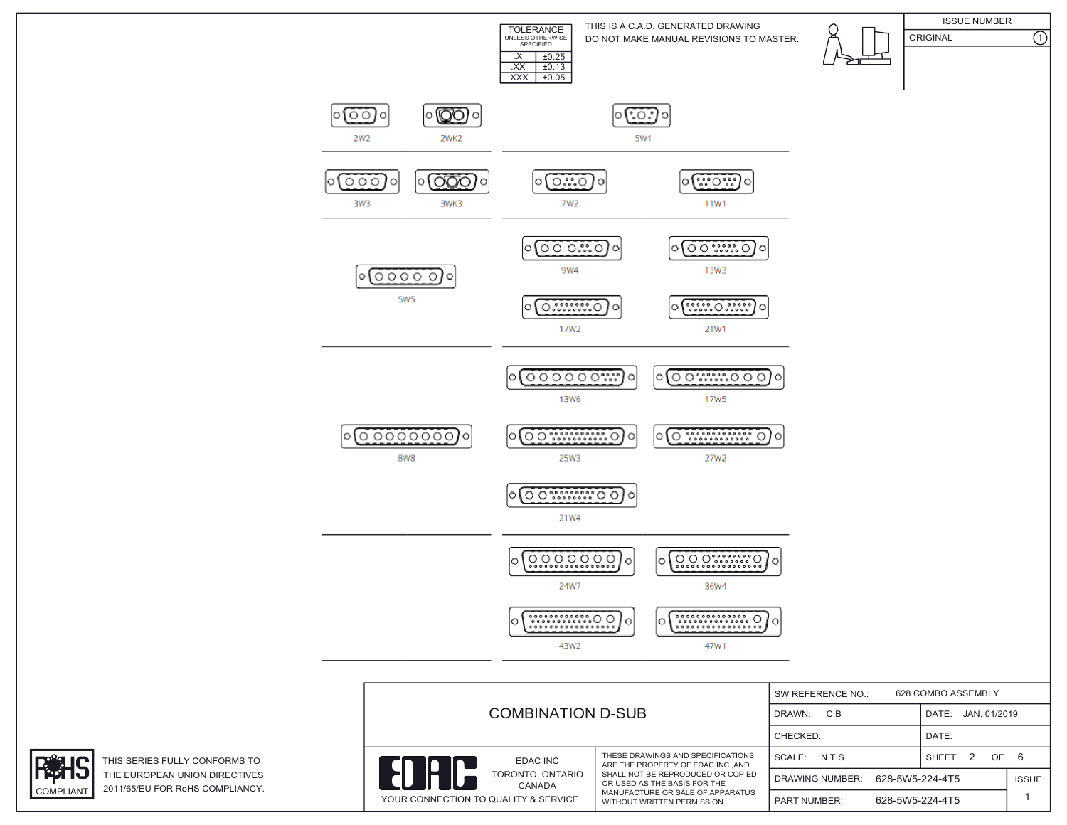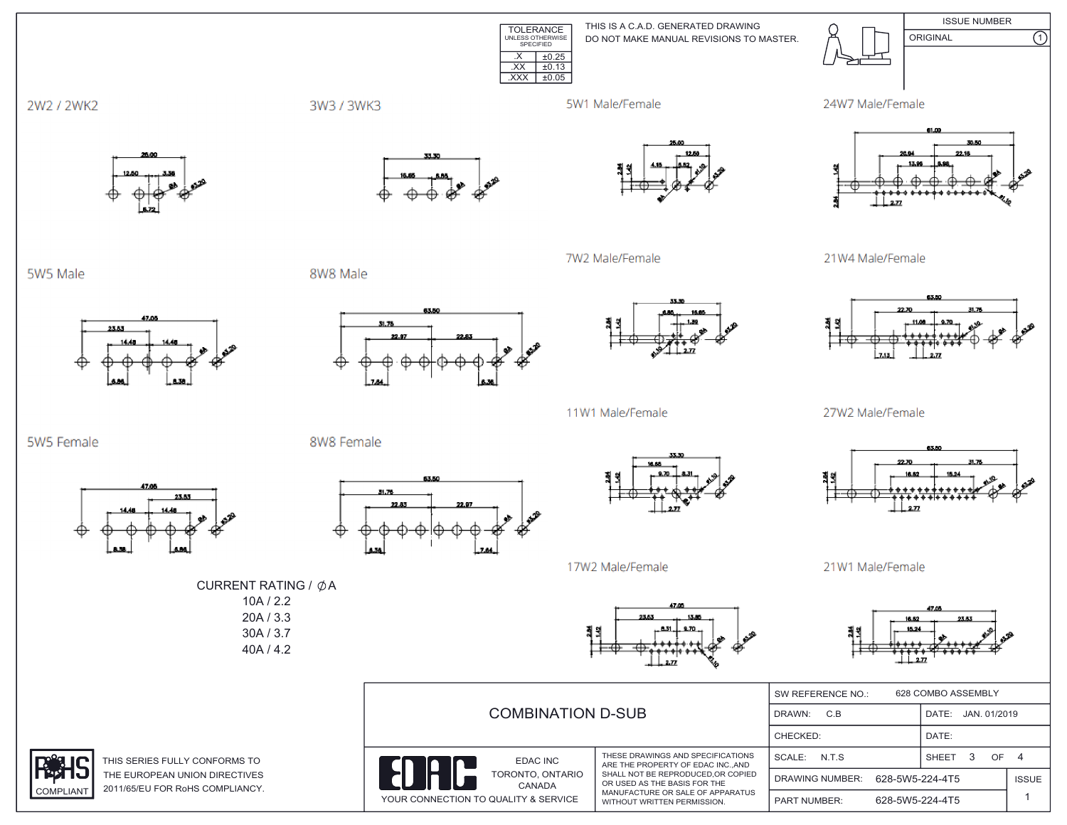**ISSUE NUMBER** THIS IS A C.A.D. GENERATED DRAWING TOLERANCE<br>UNLESS OTHERWISE<br>SPECIFIED ORIGINAL DO NOT MAKE MANUAL REVISIONS TO MASTER.  $X \mid \pm 0.25$  $\overline{XX}$   $\pm 0.13$  $\overline{XXX}$   $\pm 0.05$ 



3W3 / 3WK3



7W2 Male/Female





 $\overline{\Omega}$ 

21W4 Male/Female



27W2 Male/Female



21W1 Male/Female



|                           |                            |                                                                        | 628 COMBO ASSEMBLY<br>SW REFERENCE NO.: |                       |                   |    |              |
|---------------------------|----------------------------|------------------------------------------------------------------------|-----------------------------------------|-----------------------|-------------------|----|--------------|
| <b>COMBINATION D-SUB</b>  |                            | C.B<br>DRAWN:                                                          |                                         | JAN. 01/2019<br>DATE: |                   |    |              |
|                           |                            | CHECKED:                                                               |                                         | DATE:                 |                   |    |              |
| In                        | EDAC INC                   | THESE DRAWINGS AND SPECIFICATIONS<br>ARE THE PROPERTY OF EDAC INC. AND | SCALE: N.T.S.                           |                       | 3<br><b>SHEET</b> | OF | 4            |
|                           | TORONTO, ONTARIO<br>CANADA | SHALL NOT BE REPRODUCED.OR COPIED<br>OR USED AS THE BASIS FOR THE      | DRAWING NUMBER:                         | 628-5W5-224-4T5       |                   |    | <b>ISSUE</b> |
| TION TO QUALITY & SERVICE |                            | MANUFACTURE OR SALE OF APPARATUS<br>WITHOUT WRITTEN PERMISSION.        | <b>PART NUMBER:</b>                     | 628-5W5-224-4T5       |                   |    |              |

5W5 Male

5W5 Female







11W1 Male/Female



17W2 Male/Female

CURRENT RATING / ØA  $10A / 2.2$  $20A / 3.3$ 30A / 3.7 40A / 4.2





THIS SERIES FULLY CONFORMS TO THE EUROPEAN UNION DIRECTIVES 2011/65/EU FOR RoHS COMPLIANCY. **COMPLIANT** 



31.76

YOUR CONNECT

8W8 Female













23.53

47.00

23.53